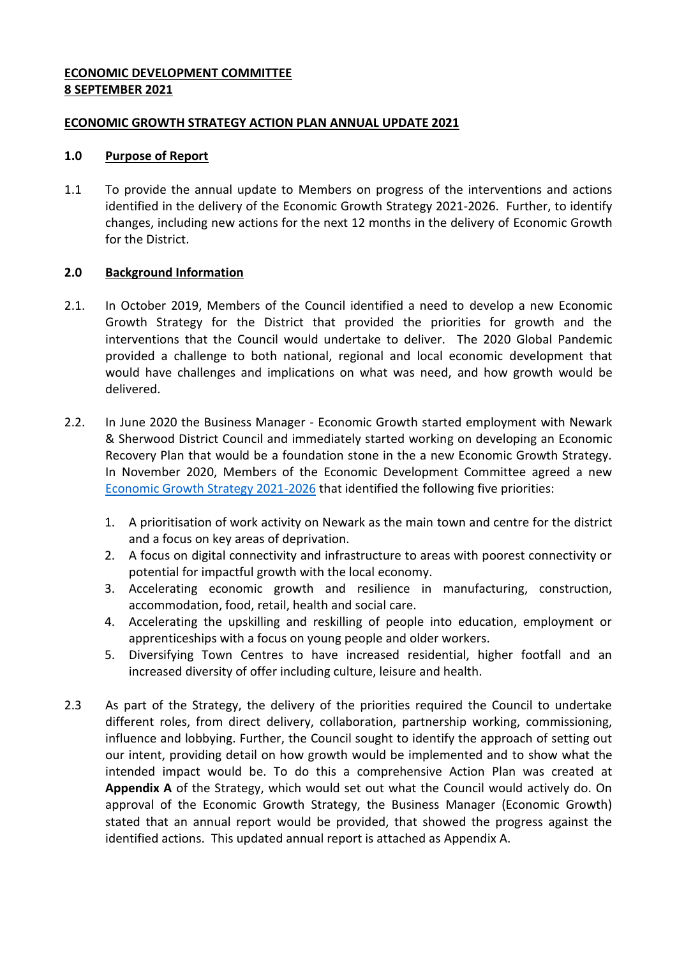## **ECONOMIC DEVELOPMENT COMMITTEE 8 SEPTEMBER 2021**

## **ECONOMIC GROWTH STRATEGY ACTION PLAN ANNUAL UPDATE 2021**

#### **1.0 Purpose of Report**

1.1 To provide the annual update to Members on progress of the interventions and actions identified in the delivery of the Economic Growth Strategy 2021-2026. Further, to identify changes, including new actions for the next 12 months in the delivery of Economic Growth for the District.

# **2.0 Background Information**

- 2.1. In October 2019, Members of the Council identified a need to develop a new Economic Growth Strategy for the District that provided the priorities for growth and the interventions that the Council would undertake to deliver. The 2020 Global Pandemic provided a challenge to both national, regional and local economic development that would have challenges and implications on what was need, and how growth would be delivered.
- 2.2. In June 2020 the Business Manager Economic Growth started employment with Newark & Sherwood District Council and immediately started working on developing an Economic Recovery Plan that would be a foundation stone in the a new Economic Growth Strategy. In November 2020, Members of the Economic Development Committee agreed a new [Economic Growth Strategy 2021-2026](https://www.newark-sherwooddc.gov.uk/media/newarkandsherwood/imagesandfiles/economicdevelopment/Newark%20&%20Sherwood%20Economic%20Growth%20Strategy%202021-2026.pdf) that identified the following five priorities:
	- 1. A prioritisation of work activity on Newark as the main town and centre for the district and a focus on key areas of deprivation.
	- 2. A focus on digital connectivity and infrastructure to areas with poorest connectivity or potential for impactful growth with the local economy.
	- 3. Accelerating economic growth and resilience in manufacturing, construction, accommodation, food, retail, health and social care.
	- 4. Accelerating the upskilling and reskilling of people into education, employment or apprenticeships with a focus on young people and older workers.
	- 5. Diversifying Town Centres to have increased residential, higher footfall and an increased diversity of offer including culture, leisure and health.
- 2.3 As part of the Strategy, the delivery of the priorities required the Council to undertake different roles, from direct delivery, collaboration, partnership working, commissioning, influence and lobbying. Further, the Council sought to identify the approach of setting out our intent, providing detail on how growth would be implemented and to show what the intended impact would be. To do this a comprehensive Action Plan was created at **Appendix A** of the Strategy, which would set out what the Council would actively do. On approval of the Economic Growth Strategy, the Business Manager (Economic Growth) stated that an annual report would be provided, that showed the progress against the identified actions. This updated annual report is attached as Appendix A.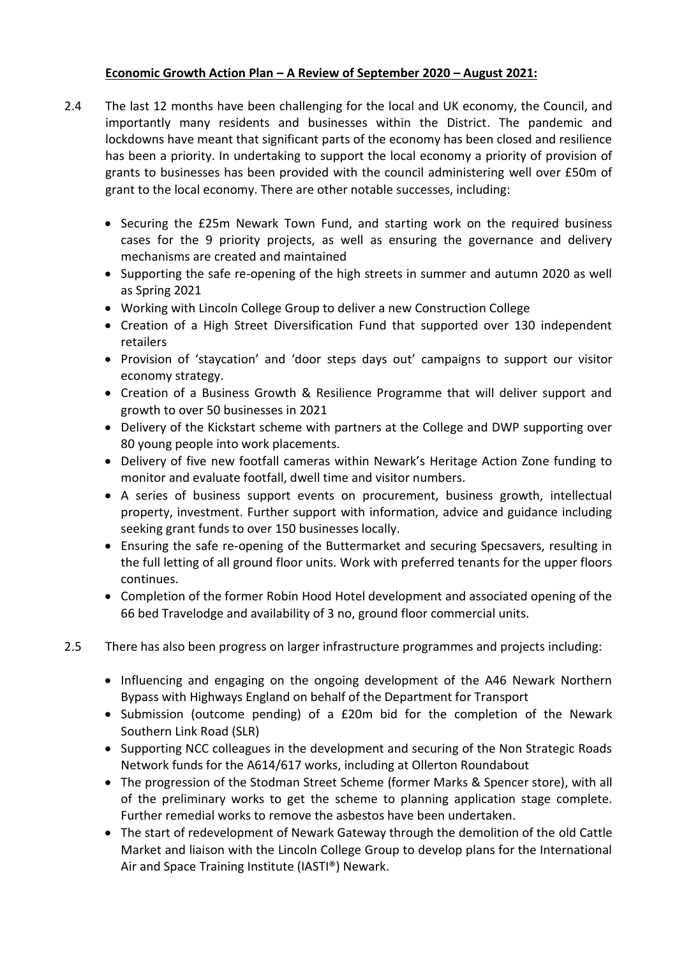# **Economic Growth Action Plan – A Review of September 2020 – August 2021:**

- 2.4 The last 12 months have been challenging for the local and UK economy, the Council, and importantly many residents and businesses within the District. The pandemic and lockdowns have meant that significant parts of the economy has been closed and resilience has been a priority. In undertaking to support the local economy a priority of provision of grants to businesses has been provided with the council administering well over £50m of grant to the local economy. There are other notable successes, including:
	- Securing the £25m Newark Town Fund, and starting work on the required business cases for the 9 priority projects, as well as ensuring the governance and delivery mechanisms are created and maintained
	- Supporting the safe re-opening of the high streets in summer and autumn 2020 as well as Spring 2021
	- Working with Lincoln College Group to deliver a new Construction College
	- Creation of a High Street Diversification Fund that supported over 130 independent retailers
	- Provision of 'staycation' and 'door steps days out' campaigns to support our visitor economy strategy.
	- Creation of a Business Growth & Resilience Programme that will deliver support and growth to over 50 businesses in 2021
	- Delivery of the Kickstart scheme with partners at the College and DWP supporting over 80 young people into work placements.
	- Delivery of five new footfall cameras within Newark's Heritage Action Zone funding to monitor and evaluate footfall, dwell time and visitor numbers.
	- A series of business support events on procurement, business growth, intellectual property, investment. Further support with information, advice and guidance including seeking grant funds to over 150 businesses locally.
	- Ensuring the safe re-opening of the Buttermarket and securing Specsavers, resulting in the full letting of all ground floor units. Work with preferred tenants for the upper floors continues.
	- Completion of the former Robin Hood Hotel development and associated opening of the 66 bed Travelodge and availability of 3 no, ground floor commercial units.
- 2.5 There has also been progress on larger infrastructure programmes and projects including:
	- Influencing and engaging on the ongoing development of the A46 Newark Northern Bypass with Highways England on behalf of the Department for Transport
	- Submission (outcome pending) of a £20m bid for the completion of the Newark Southern Link Road (SLR)
	- Supporting NCC colleagues in the development and securing of the Non Strategic Roads Network funds for the A614/617 works, including at Ollerton Roundabout
	- The progression of the Stodman Street Scheme (former Marks & Spencer store), with all of the preliminary works to get the scheme to planning application stage complete. Further remedial works to remove the asbestos have been undertaken.
	- The start of redevelopment of Newark Gateway through the demolition of the old Cattle Market and liaison with the Lincoln College Group to develop plans for the International Air and Space Training Institute (IASTI®) Newark.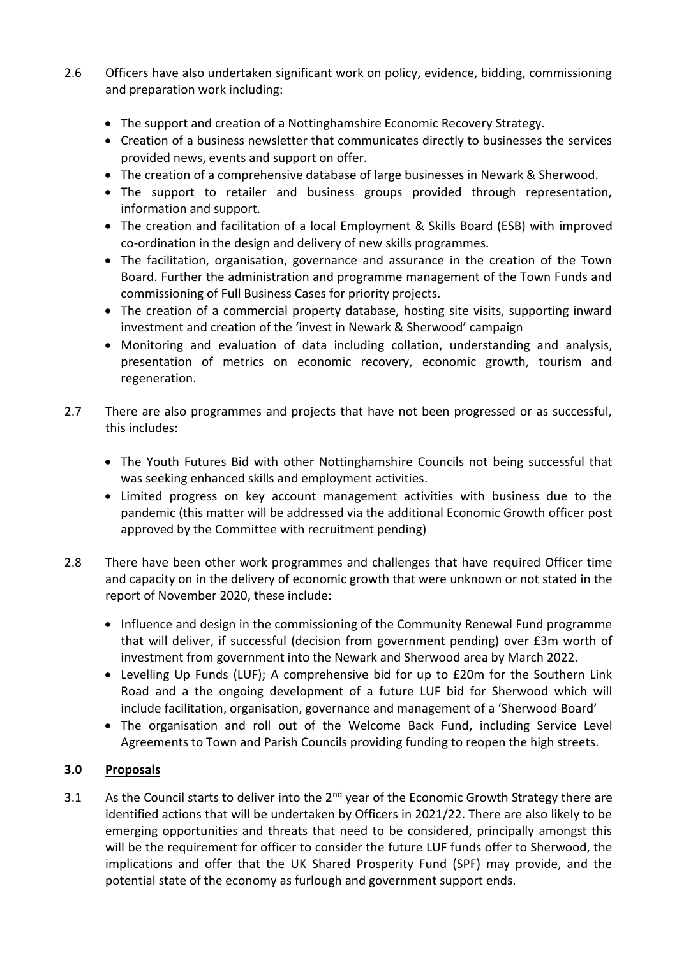- 2.6 Officers have also undertaken significant work on policy, evidence, bidding, commissioning and preparation work including:
	- The support and creation of a Nottinghamshire Economic Recovery Strategy.
	- Creation of a business newsletter that communicates directly to businesses the services provided news, events and support on offer.
	- The creation of a comprehensive database of large businesses in Newark & Sherwood.
	- The support to retailer and business groups provided through representation, information and support.
	- The creation and facilitation of a local Employment & Skills Board (ESB) with improved co-ordination in the design and delivery of new skills programmes.
	- The facilitation, organisation, governance and assurance in the creation of the Town Board. Further the administration and programme management of the Town Funds and commissioning of Full Business Cases for priority projects.
	- The creation of a commercial property database, hosting site visits, supporting inward investment and creation of the 'invest in Newark & Sherwood' campaign
	- Monitoring and evaluation of data including collation, understanding and analysis, presentation of metrics on economic recovery, economic growth, tourism and regeneration.
- 2.7 There are also programmes and projects that have not been progressed or as successful, this includes:
	- The Youth Futures Bid with other Nottinghamshire Councils not being successful that was seeking enhanced skills and employment activities.
	- Limited progress on key account management activities with business due to the pandemic (this matter will be addressed via the additional Economic Growth officer post approved by the Committee with recruitment pending)
- 2.8 There have been other work programmes and challenges that have required Officer time and capacity on in the delivery of economic growth that were unknown or not stated in the report of November 2020, these include:
	- Influence and design in the commissioning of the Community Renewal Fund programme that will deliver, if successful (decision from government pending) over £3m worth of investment from government into the Newark and Sherwood area by March 2022.
	- Levelling Up Funds (LUF); A comprehensive bid for up to £20m for the Southern Link Road and a the ongoing development of a future LUF bid for Sherwood which will include facilitation, organisation, governance and management of a 'Sherwood Board'
	- The organisation and roll out of the Welcome Back Fund, including Service Level Agreements to Town and Parish Councils providing funding to reopen the high streets.

# **3.0 Proposals**

3.1 As the Council starts to deliver into the  $2^{nd}$  year of the Economic Growth Strategy there are identified actions that will be undertaken by Officers in 2021/22. There are also likely to be emerging opportunities and threats that need to be considered, principally amongst this will be the requirement for officer to consider the future LUF funds offer to Sherwood, the implications and offer that the UK Shared Prosperity Fund (SPF) may provide, and the potential state of the economy as furlough and government support ends.